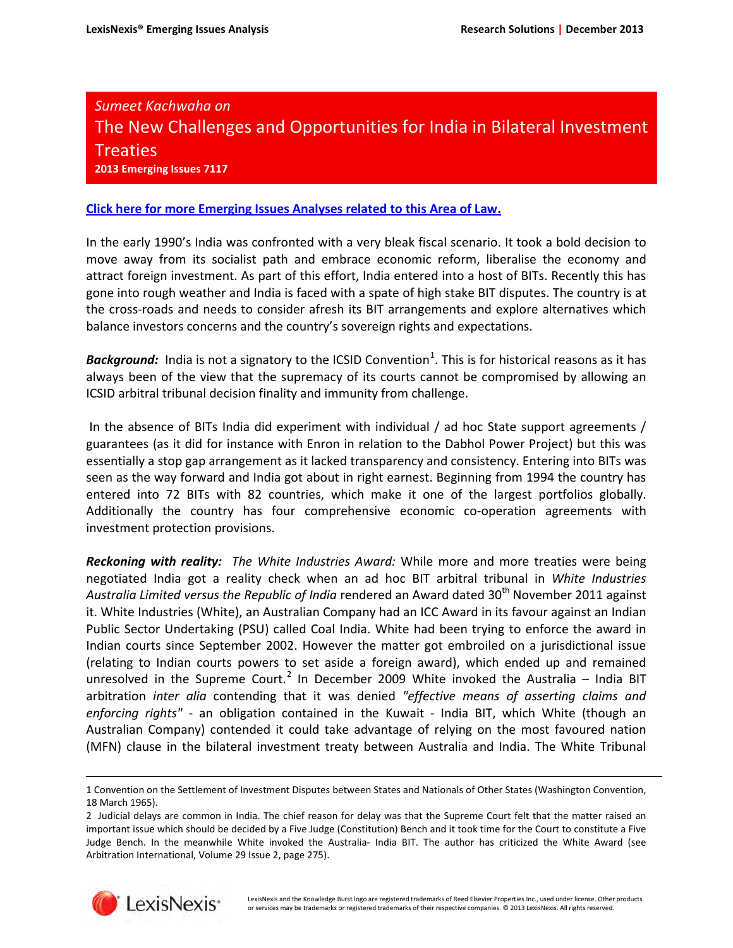## *Sumeet Kachwaha on* The New Challenges and Opportunities for India in Bilateral Investment Treaties **2013 Emerging Issues 7117**

## **[Click here for more Emerging Issues Analyses related to this Area of Law.](http://www.lexis.com/research/xlink?&source=327770&searchtype=boolean&target=toc)**

In the early 1990's India was confronted with a very bleak fiscal scenario. It took a bold decision to move away from its socialist path and embrace economic reform, liberalise the economy and attract foreign investment. As part of this effort, India entered into a host of BITs. Recently this has gone into rough weather and India is faced with a spate of high stake BIT disputes. The country is at the cross-roads and needs to consider afresh its BIT arrangements and explore alternatives which balance investors concerns and the country's sovereign rights and expectations.

Background: India is not a signatory to the ICSID Convention<sup>[1](#page-0-0)</sup>. This is for historical reasons as it has always been of the view that the supremacy of its courts cannot be compromised by allowing an ICSID arbitral tribunal decision finality and immunity from challenge.

In the absence of BITs India did experiment with individual / ad hoc State support agreements / guarantees (as it did for instance with Enron in relation to the Dabhol Power Project) but this was essentially a stop gap arrangement as it lacked transparency and consistency. Entering into BITs was seen as the way forward and India got about in right earnest. Beginning from 1994 the country has entered into 72 BITs with 82 countries, which make it one of the largest portfolios globally. Additionally the country has four comprehensive economic co-operation agreements with investment protection provisions.

*Reckoning with reality: The White Industries Award:* While more and more treaties were being negotiated India got a reality check when an ad hoc BIT arbitral tribunal in *White Industries*  Australia Limited versus the Republic of India rendered an Award dated 30<sup>th</sup> November 2011 against it. White Industries (White), an Australian Company had an ICC Award in its favour against an Indian Public Sector Undertaking (PSU) called Coal India. White had been trying to enforce the award in Indian courts since September 2002. However the matter got embroiled on a jurisdictional issue (relating to Indian courts powers to set aside a foreign award), which ended up and remained unresolved in the Supreme Court.<sup>[2](#page-0-1)</sup> In December 2009 White invoked the Australia - India BIT arbitration *inter alia* contending that it was denied *"effective means of asserting claims and enforcing rights"* - an obligation contained in the Kuwait - India BIT, which White (though an Australian Company) contended it could take advantage of relying on the most favoured nation (MFN) clause in the bilateral investment treaty between Australia and India. The White Tribunal

<span id="page-0-1"></span><sup>2</sup> Judicial delays are common in India. The chief reason for delay was that the Supreme Court felt that the matter raised an important issue which should be decided by a Five Judge (Constitution) Bench and it took time for the Court to constitute a Five Judge Bench. In the meanwhile White invoked the Australia- India BIT. The author has criticized the White Award (see Arbitration International, Volume 29 Issue 2, page 275).



l

<span id="page-0-0"></span><sup>1</sup> Convention on the Settlement of Investment Disputes between States and Nationals of Other States (Washington Convention, 18 March 1965).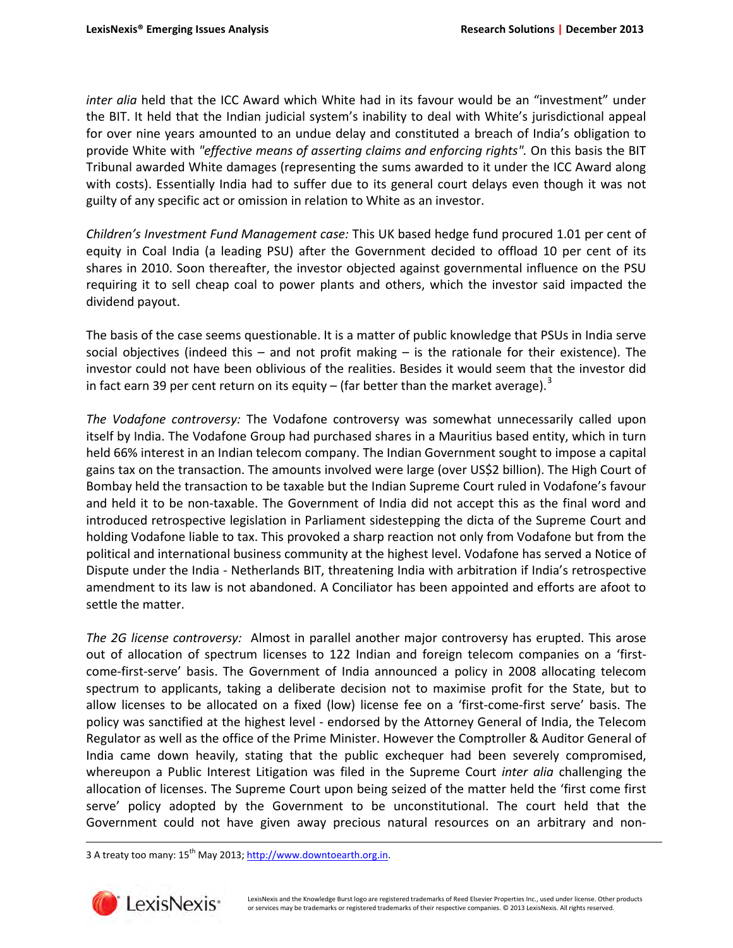*inter alia* held that the ICC Award which White had in its favour would be an "investment" under the BIT. It held that the Indian judicial system's inability to deal with White's jurisdictional appeal for over nine years amounted to an undue delay and constituted a breach of India's obligation to provide White with *"effective means of asserting claims and enforcing rights".* On this basis the BIT Tribunal awarded White damages (representing the sums awarded to it under the ICC Award along with costs). Essentially India had to suffer due to its general court delays even though it was not guilty of any specific act or omission in relation to White as an investor.

*Children's Investment Fund Management case:* This UK based hedge fund procured 1.01 per cent of equity in Coal India (a leading PSU) after the Government decided to offload 10 per cent of its shares in 2010. Soon thereafter, the investor objected against governmental influence on the PSU requiring it to sell cheap coal to power plants and others, which the investor said impacted the dividend payout.

The basis of the case seems questionable. It is a matter of public knowledge that PSUs in India serve social objectives (indeed this – and not profit making – is the rationale for their existence). The investor could not have been oblivious of the realities. Besides it would seem that the investor did in fact earn [3](#page-1-0)9 per cent return on its equity – (far better than the market average).<sup>3</sup>

*The Vodafone controversy:* The Vodafone controversy was somewhat unnecessarily called upon itself by India. The Vodafone Group had purchased shares in a Mauritius based entity, which in turn held 66% interest in an Indian telecom company. The Indian Government sought to impose a capital gains tax on the transaction. The amounts involved were large (over US\$2 billion). The High Court of Bombay held the transaction to be taxable but the Indian Supreme Court ruled in Vodafone's favour and held it to be non-taxable. The Government of India did not accept this as the final word and introduced retrospective legislation in Parliament sidestepping the dicta of the Supreme Court and holding Vodafone liable to tax. This provoked a sharp reaction not only from Vodafone but from the political and international business community at the highest level. Vodafone has served a Notice of Dispute under the India - Netherlands BIT, threatening India with arbitration if India's retrospective amendment to its law is not abandoned. A Conciliator has been appointed and efforts are afoot to settle the matter.

*The 2G license controversy:* Almost in parallel another major controversy has erupted. This arose out of allocation of spectrum licenses to 122 Indian and foreign telecom companies on a 'firstcome-first-serve' basis. The Government of India announced a policy in 2008 allocating telecom spectrum to applicants, taking a deliberate decision not to maximise profit for the State, but to allow licenses to be allocated on a fixed (low) license fee on a 'first-come-first serve' basis. The policy was sanctified at the highest level - endorsed by the Attorney General of India, the Telecom Regulator as well as the office of the Prime Minister. However the Comptroller & Auditor General of India came down heavily, stating that the public exchequer had been severely compromised, whereupon a Public Interest Litigation was filed in the Supreme Court *inter alia* challenging the allocation of licenses. The Supreme Court upon being seized of the matter held the 'first come first serve' policy adopted by the Government to be unconstitutional. The court held that the Government could not have given away precious natural resources on an arbitrary and non-

<span id="page-1-0"></span>3 A treaty too many: 15<sup>th</sup> May 2013; http://www.downtoearth.org.in.



 $\overline{\phantom{0}}$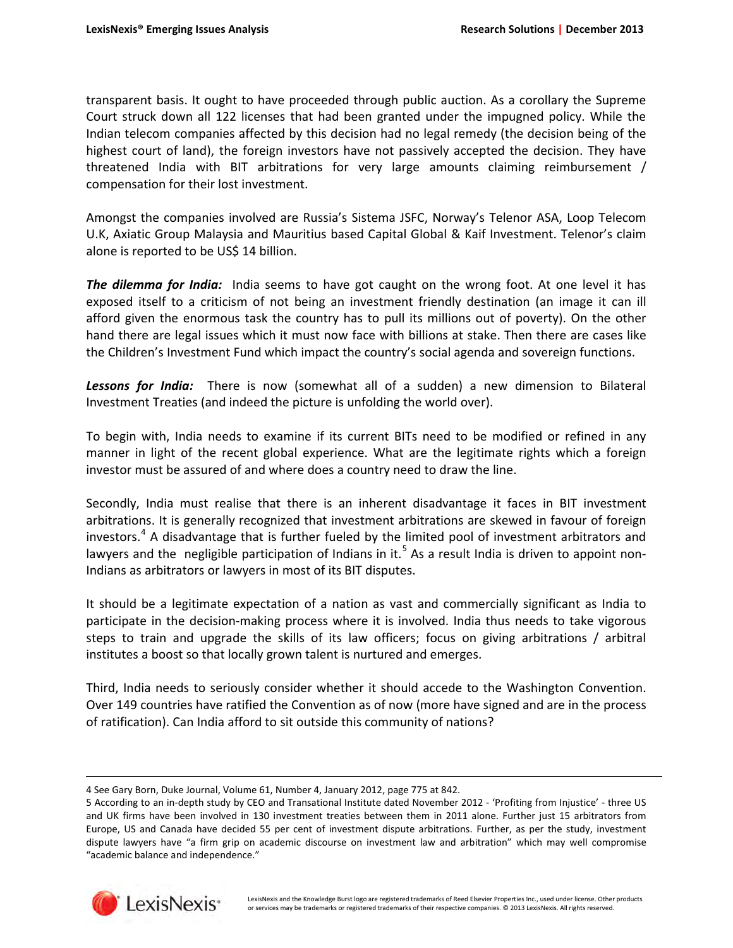transparent basis. It ought to have proceeded through public auction. As a corollary the Supreme Court struck down all 122 licenses that had been granted under the impugned policy. While the Indian telecom companies affected by this decision had no legal remedy (the decision being of the highest court of land), the foreign investors have not passively accepted the decision. They have threatened India with BIT arbitrations for very large amounts claiming reimbursement / compensation for their lost investment.

Amongst the companies involved are Russia's Sistema JSFC, Norway's Telenor ASA, Loop Telecom U.K, Axiatic Group Malaysia and Mauritius based Capital Global & Kaif Investment. Telenor's claim alone is reported to be US\$ 14 billion.

**The dilemma for India:** India seems to have got caught on the wrong foot. At one level it has exposed itself to a criticism of not being an investment friendly destination (an image it can ill afford given the enormous task the country has to pull its millions out of poverty). On the other hand there are legal issues which it must now face with billions at stake. Then there are cases like the Children's Investment Fund which impact the country's social agenda and sovereign functions.

*Lessons for India:* There is now (somewhat all of a sudden) a new dimension to Bilateral Investment Treaties (and indeed the picture is unfolding the world over).

To begin with, India needs to examine if its current BITs need to be modified or refined in any manner in light of the recent global experience. What are the legitimate rights which a foreign investor must be assured of and where does a country need to draw the line.

Secondly, India must realise that there is an inherent disadvantage it faces in BIT investment arbitrations. It is generally recognized that investment arbitrations are skewed in favour of foreign investors.<sup>[4](#page-2-0)</sup> A disadvantage that is further fueled by the limited pool of investment arbitrators and lawyers and the negligible participation of Indians in it.<sup>[5](#page-2-1)</sup> As a result India is driven to appoint non-Indians as arbitrators or lawyers in most of its BIT disputes.

It should be a legitimate expectation of a nation as vast and commercially significant as India to participate in the decision-making process where it is involved. India thus needs to take vigorous steps to train and upgrade the skills of its law officers; focus on giving arbitrations / arbitral institutes a boost so that locally grown talent is nurtured and emerges.

Third, India needs to seriously consider whether it should accede to the Washington Convention. Over 149 countries have ratified the Convention as of now (more have signed and are in the process of ratification). Can India afford to sit outside this community of nations?

<span id="page-2-1"></span><span id="page-2-0"></span><sup>5</sup> According to an in-depth study by CEO and Transational Institute dated November 2012 - 'Profiting from Injustice' - three US and UK firms have been involved in 130 investment treaties between them in 2011 alone. Further just 15 arbitrators from Europe, US and Canada have decided 55 per cent of investment dispute arbitrations. Further, as per the study, investment dispute lawyers have "a firm grip on academic discourse on investment law and arbitration" which may well compromise "academic balance and independence."



l

<sup>4</sup> See Gary Born, Duke Journal, Volume 61, Number 4, January 2012, page 775 at 842.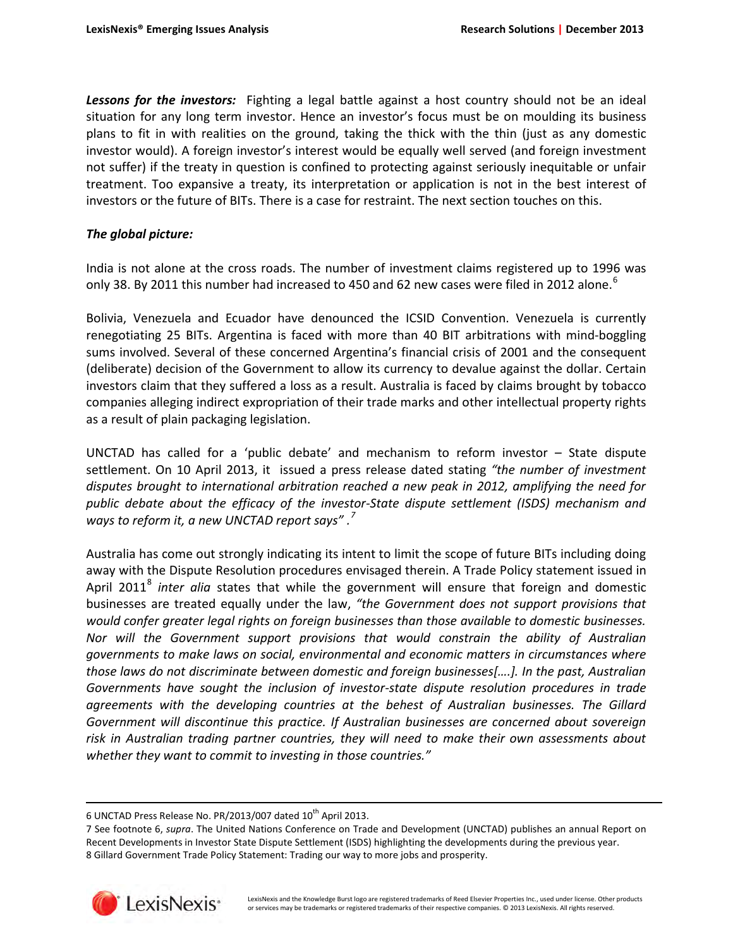*Lessons for the investors:* Fighting a legal battle against a host country should not be an ideal situation for any long term investor. Hence an investor's focus must be on moulding its business plans to fit in with realities on the ground, taking the thick with the thin (just as any domestic investor would). A foreign investor's interest would be equally well served (and foreign investment not suffer) if the treaty in question is confined to protecting against seriously inequitable or unfair treatment. Too expansive a treaty, its interpretation or application is not in the best interest of investors or the future of BITs. There is a case for restraint. The next section touches on this.

## *The global picture:*

India is not alone at the cross roads. The number of investment claims registered up to 1996 was only 38. By 2011 this number had increased to 450 and [6](#page-3-0)2 new cases were filed in 2012 alone.<sup>6</sup>

Bolivia, Venezuela and Ecuador have denounced the ICSID Convention. Venezuela is currently renegotiating 25 BITs. Argentina is faced with more than 40 BIT arbitrations with mind-boggling sums involved. Several of these concerned Argentina's financial crisis of 2001 and the consequent (deliberate) decision of the Government to allow its currency to devalue against the dollar. Certain investors claim that they suffered a loss as a result. Australia is faced by claims brought by tobacco companies alleging indirect expropriation of their trade marks and other intellectual property rights as a result of plain packaging legislation.

UNCTAD has called for a 'public debate' and mechanism to reform investor – State dispute settlement. On 10 April 2013, it issued a press release dated stating *"the number of investment disputes brought to international arbitration reached a new peak in 2012, amplifying the need for public debate about the efficacy of the investor-State dispute settlement (ISDS) mechanism and ways to reform it, a new UNCTAD report says" .[7](#page-3-1)*

Australia has come out strongly indicating its intent to limit the scope of future BITs including doing away with the Dispute Resolution procedures envisaged therein. A Trade Policy statement issued in April 2011<sup>[8](#page-3-2)</sup> inter alia states that while the government will ensure that foreign and domestic businesses are treated equally under the law, *"the Government does not support provisions that would confer greater legal rights on foreign businesses than those available to domestic businesses. Nor will the Government support provisions that would constrain the ability of Australian governments to make laws on social, environmental and economic matters in circumstances where those laws do not discriminate between domestic and foreign businesses[….]. In the past, Australian Governments have sought the inclusion of investor-state dispute resolution procedures in trade agreements with the developing countries at the behest of Australian businesses. The Gillard Government will discontinue this practice. If Australian businesses are concerned about sovereign risk in Australian trading partner countries, they will need to make their own assessments about whether they want to commit to investing in those countries."*

<span id="page-3-2"></span><span id="page-3-1"></span><span id="page-3-0"></span><sup>7</sup> See footnote 6, *supra*. The United Nations Conference on Trade and Development (UNCTAD) publishes an annual Report on Recent Developments in Investor State Dispute Settlement (ISDS) highlighting the developments during the previous year. 8 Gillard Government Trade Policy Statement: Trading our way to more jobs and prosperity.



 $\overline{\phantom{0}}$ 

<sup>6</sup> UNCTAD Press Release No. PR/2013/007 dated  $10^{th}$  April 2013.